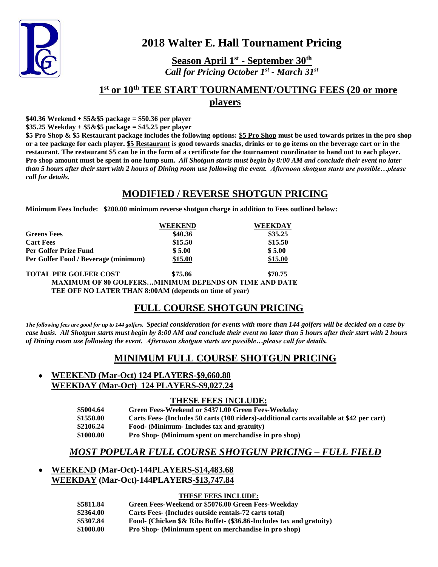

# **2018 Walter E. Hall Tournament Pricing**

**Season April 1st - September 30th** *Call for Pricing October 1st - March 31st* 

### **1 st or 10th TEE START TOURNAMENT/OUTING FEES (20 or more players**

**\$40.36 Weekend + \$5&\$5 package = \$50.36 per player**

**\$35.25 Weekday + \$5&\$5 package = \$45.25 per player**

**\$5 Pro Shop & \$5 Restaurant package includes the following options: \$5 Pro Shop must be used towards prizes in the pro shop or a tee package for each player. \$5 Restaurant is good towards snacks, drinks or to go items on the beverage cart or in the restaurant. The restaurant \$5 can be in the form of a certificate for the tournament coordinator to hand out to each player. Pro shop amount must be spent in one lump sum.** *All Shotgun starts must begin by 8:00 AM and conclude their event no later than 5 hours after their start with 2 hours of Dining room use following the event. Afternoon shotgun starts are possible…please call for details.*

#### **MODIFIED / REVERSE SHOTGUN PRICING**

**Minimum Fees Include: \$200.00 minimum reverse shotgun charge in addition to Fees outlined below:**

|                                                              | <b>WEEKEND</b> | <b>WEEKDAY</b> |
|--------------------------------------------------------------|----------------|----------------|
| <b>Greens Fees</b>                                           | \$40.36        | \$35.25        |
| <b>Cart Fees</b>                                             | \$15.50        | \$15.50        |
| <b>Per Golfer Prize Fund</b>                                 | \$5.00         | \$5.00         |
| Per Golfer Food / Beverage (minimum)                         | \$15.00        | \$15.00        |
| <b>TOTAL PER GOLFER COST</b>                                 | \$75.86        | \$70.75        |
| <b>MAXIMUM OF 80 GOLFERSMINIMUM DEPENDS ON TIME AND DATE</b> |                |                |
| TEE OFF NO LATER THAN 8:00AM (depends on time of year)       |                |                |

## **FULL COURSE SHOTGUN PRICING**

*The following fees are good for up to 144 golfers. Special consideration for events with more than 144 golfers will be decided on a case by case basis. All Shotgun starts must begin by 8:00 AM and conclude their event no later than 5 hours after their start with 2 hours of Dining room use following the event. Afternoon shotgun starts are possible…please call for details.* 

## **MINIMUM FULL COURSE SHOTGUN PRICING**

#### **WEEKEND (Mar-Oct) 124 PLAYERS-\$9,660.88 WEEKDAY (Mar-Oct) 124 PLAYERS-\$9,027.24**

#### **THESE FEES INCLUDE:**

- **\$5004.64 Green Fees-Weekend or \$4371.00 Green Fees-Weekday**
- **\$1550.00 Carts Fees- (Includes 50 carts (100 riders)-additional carts available at \$42 per cart)**
- **\$2106.24 Food- (Minimum- Includes tax and gratuity)**
- **\$1000.00 Pro Shop- (Minimum spent on merchandise in pro shop)**

## *MOST POPULAR FULL COURSE SHOTGUN PRICING – FULL FIELD*

#### **WEEKEND (Mar-Oct)-144PLAYERS-\$14,483.68 WEEKDAY (Mar-Oct)-144PLAYERS-\$13,747.84**

#### **THESE FEES INCLUDE:**

| \$5811.84 | Green Fees-Weekend or \$5076.00 Green Fees-Weekday                  |
|-----------|---------------------------------------------------------------------|
| \$2364.00 | Carts Fees- (Includes outside rentals-72 carts total)               |
| \$5307.84 | Food- (Chicken \$& Ribs Buffet- (\$36.86-Includes tax and gratuity) |
| \$1000.00 | <b>Pro Shop-</b> (Minimum spent on merchandise in pro shop)         |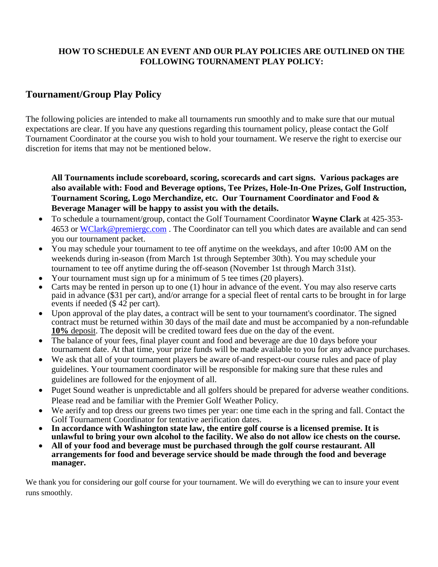#### **HOW TO SCHEDULE AN EVENT AND OUR PLAY POLICIES ARE OUTLINED ON THE FOLLOWING TOURNAMENT PLAY POLICY:**

### **Tournament/Group Play Policy**

The following policies are intended to make all tournaments run smoothly and to make sure that our mutual expectations are clear. If you have any questions regarding this tournament policy, please contact the Golf Tournament Coordinator at the course you wish to hold your tournament. We reserve the right to exercise our discretion for items that may not be mentioned below.

**All Tournaments include scoreboard, scoring, scorecards and cart signs. Various packages are also available with: Food and Beverage options, Tee Prizes, Hole-In-One Prizes, Golf Instruction, Tournament Scoring, Logo Merchandize, etc. Our Tournament Coordinator and Food & Beverage Manager will be happy to assist you with the details.**

- To schedule a tournament/group, contact the Golf Tournament Coordinator **Wayne Clark** at 425-353- 4653 or [WClark@premiergc.com](mailto:WClark@premiergc.com). The Coordinator can tell you which dates are available and can send you our tournament packet.
- You may schedule your tournament to tee off anytime on the weekdays, and after 10**:**00 AM on the weekends during in-season (from March 1st through September 30th). You may schedule your tournament to tee off anytime during the off-season (November 1st through March 31st).
- Your tournament must sign up for a minimum of 5 tee times (20 players).
- Carts may be rented in person up to one (1) hour in advance of the event. You may also reserve carts paid in advance (\$31 per cart), and/or arrange for a special fleet of rental carts to be brought in for large events if needed (\$ 42 per cart).
- Upon approval of the play dates, a contract will be sent to your tournament's coordinator. The signed contract must be returned within 30 days of the mail date and must be accompanied by a non-refundable **10%** deposit. The deposit will be credited toward fees due on the day of the event.
- The balance of your fees, final player count and food and beverage are due 10 days before your tournament date. At that time, your prize funds will be made available to you for any advance purchases.
- We ask that all of your tournament players be aware of-and respect-our course rules and pace of play guidelines. Your tournament coordinator will be responsible for making sure that these rules and guidelines are followed for the enjoyment of all.
- Puget Sound weather is unpredictable and all golfers should be prepared for adverse weather conditions. Please read and be familiar with the Premier Golf Weather Policy.
- We aerify and top dress our greens two times per year: one time each in the spring and fall. Contact the Golf Tournament Coordinator for tentative aerification dates.
- **In accordance with Washington state law, the entire golf course is a licensed premise. It is unlawful to bring your own alcohol to the facility. We also do not allow ice chests on the course.**
- **All of your food and beverage must be purchased through the golf course restaurant. All arrangements for food and beverage service should be made through the food and beverage manager.**

We thank you for considering our golf course for your tournament. We will do everything we can to insure your event runs smoothly.